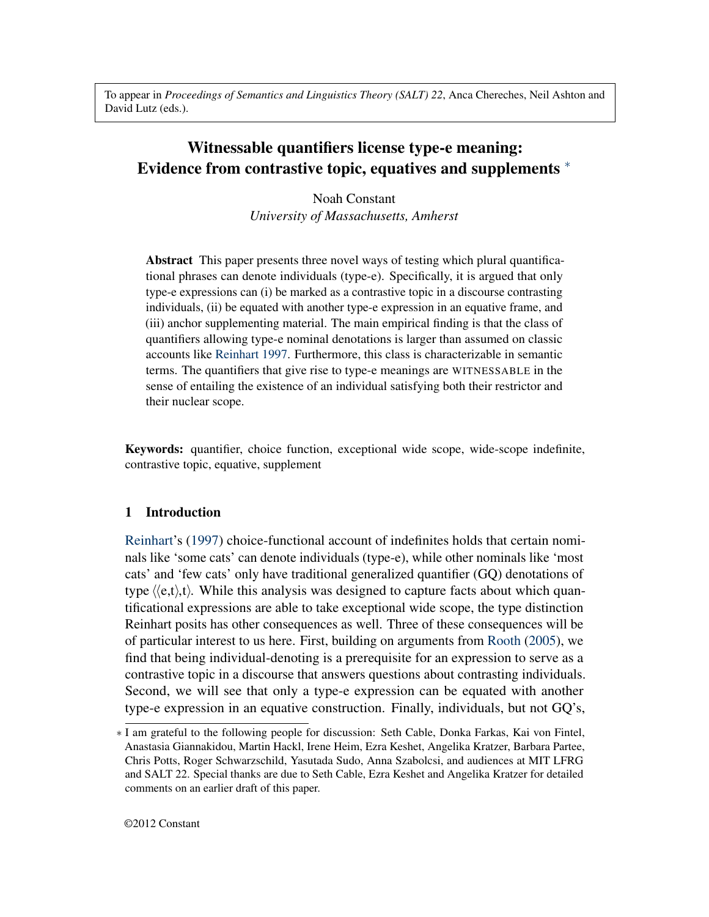To appear in *Proceedings of Semantics and Linguistics Theory (SALT) 22*, Anca Chereches, Neil Ashton and David Lutz (eds.).

# Witnessable quantifiers license type-e meaning: Evidence from contrastive topic, equatives and supplements <sup>∗</sup>

Noah Constant *University of Massachusetts, Amherst*

Abstract This paper presents three novel ways of testing which plural quantificational phrases can denote individuals (type-e). Specifically, it is argued that only type-e expressions can (i) be marked as a contrastive topic in a discourse contrasting individuals, (ii) be equated with another type-e expression in an equative frame, and (iii) anchor supplementing material. The main empirical finding is that the class of quantifiers allowing type-e nominal denotations is larger than assumed on classic accounts like [Reinhart](#page-19-0) [1997.](#page-19-0) Furthermore, this class is characterizable in semantic terms. The quantifiers that give rise to type-e meanings are WITNESSABLE in the sense of entailing the existence of an individual satisfying both their restrictor and their nuclear scope.

Keywords: quantifier, choice function, exceptional wide scope, wide-scope indefinite, contrastive topic, equative, supplement

# 1 Introduction

[Reinhart'](#page-19-0)s [\(1997\)](#page-19-0) choice-functional account of indefinites holds that certain nominals like 'some cats' can denote individuals (type-e), while other nominals like 'most cats' and 'few cats' only have traditional generalized quantifier (GQ) denotations of type  $\langle e,t\rangle$ ,t). While this analysis was designed to capture facts about which quantificational expressions are able to take exceptional wide scope, the type distinction Reinhart posits has other consequences as well. Three of these consequences will be of particular interest to us here. First, building on arguments from [Rooth](#page-19-1) [\(2005\)](#page-19-1), we find that being individual-denoting is a prerequisite for an expression to serve as a contrastive topic in a discourse that answers questions about contrasting individuals. Second, we will see that only a type-e expression can be equated with another type-e expression in an equative construction. Finally, individuals, but not GQ's,

<sup>∗</sup> I am grateful to the following people for discussion: Seth Cable, Donka Farkas, Kai von Fintel, Anastasia Giannakidou, Martin Hackl, Irene Heim, Ezra Keshet, Angelika Kratzer, Barbara Partee, Chris Potts, Roger Schwarzschild, Yasutada Sudo, Anna Szabolcsi, and audiences at MIT LFRG and SALT 22. Special thanks are due to Seth Cable, Ezra Keshet and Angelika Kratzer for detailed comments on an earlier draft of this paper.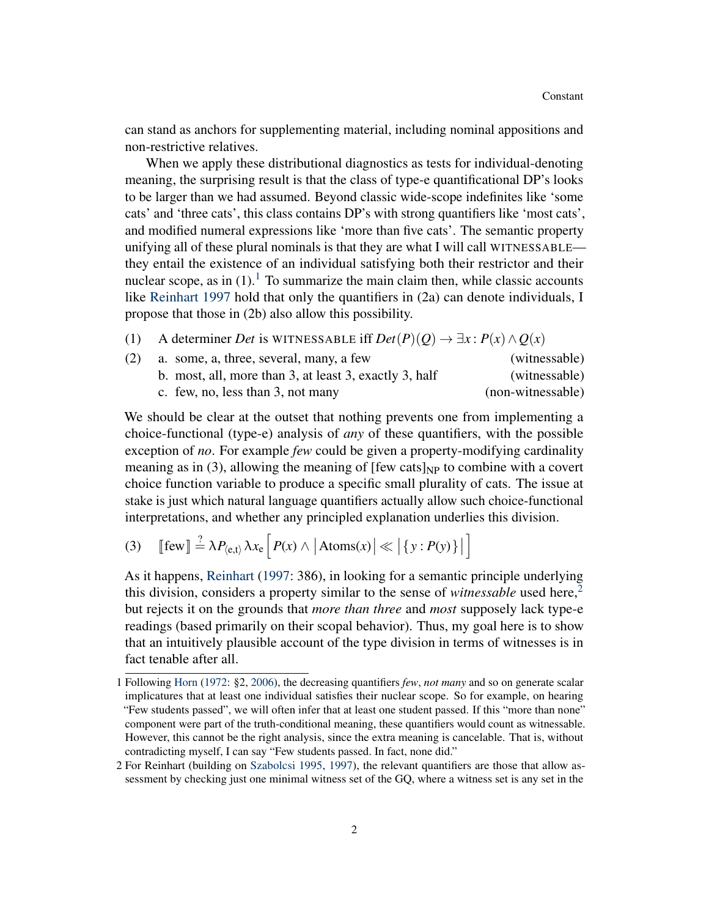can stand as anchors for supplementing material, including nominal appositions and non-restrictive relatives.

When we apply these distributional diagnostics as tests for individual-denoting meaning, the surprising result is that the class of type-e quantificational DP's looks to be larger than we had assumed. Beyond classic wide-scope indefinites like 'some cats' and 'three cats', this class contains DP's with strong quantifiers like 'most cats', and modified numeral expressions like 'more than five cats'. The semantic property unifying all of these plural nominals is that they are what I will call WITNESSABLE they entail the existence of an individual satisfying both their restrictor and their nuclear scope, as in  $(1)$  $(1)$  $(1)$ .<sup>1</sup> To summarize the main claim then, while classic accounts like [Reinhart](#page-19-0) [1997](#page-19-0) hold that only the quantifiers in (2a) can denote individuals, I propose that those in (2b) also allow this possibility.

| (1) |  | A determiner Det is WITNESSABLE iff $Det(P)(Q) \rightarrow \exists x : P(x) \wedge Q(x)$ |  |  |
|-----|--|------------------------------------------------------------------------------------------|--|--|
|-----|--|------------------------------------------------------------------------------------------|--|--|

| (2) | a. some, a, three, several, many, a few                | (witnessable)     |
|-----|--------------------------------------------------------|-------------------|
|     | b. most, all, more than 3, at least 3, exactly 3, half | (witnessable)     |
|     | c. few, no, less than $3$ , not many                   | (non-witnessable) |

We should be clear at the outset that nothing prevents one from implementing a choice-functional (type-e) analysis of *any* of these quantifiers, with the possible exception of *no*. For example *few* could be given a property-modifying cardinality meaning as in (3), allowing the meaning of [few cats] $_{NP}$  to combine with a covert choice function variable to produce a specific small plurality of cats. The issue at stake is just which natural language quantifiers actually allow such choice-functional interpretations, and whether any principled explanation underlies this division.

(3)  $\left[ \text{few} \right] \stackrel{?}{=} \lambda P_{\langle e,t \rangle} \lambda x_e \left[ P(x) \wedge \left| \text{Atoms}(x) \right| \ll \left| \{ y : P(y) \} \right| \right]$ i

As it happens, [Reinhart](#page-19-0) [\(1997:](#page-19-0) 386), in looking for a semantic principle underlying this division, considers a property similar to the sense of *witnessable* used here,<sup>[2](#page-1-1)</sup> but rejects it on the grounds that *more than three* and *most* supposely lack type-e readings (based primarily on their scopal behavior). Thus, my goal here is to show that an intuitively plausible account of the type division in terms of witnesses is in fact tenable after all.

<span id="page-1-0"></span><sup>1</sup> Following [Horn](#page-18-0) [\(1972:](#page-18-0) §2, [2006\)](#page-18-1), the decreasing quantifiers *few*, *not many* and so on generate scalar implicatures that at least one individual satisfies their nuclear scope. So for example, on hearing "Few students passed", we will often infer that at least one student passed. If this "more than none" component were part of the truth-conditional meaning, these quantifiers would count as witnessable. However, this cannot be the right analysis, since the extra meaning is cancelable. That is, without contradicting myself, I can say "Few students passed. In fact, none did."

<span id="page-1-1"></span><sup>2</sup> For Reinhart (building on [Szabolcsi](#page-20-0) [1995,](#page-20-0) [1997\)](#page-20-1), the relevant quantifiers are those that allow assessment by checking just one minimal witness set of the GQ, where a witness set is any set in the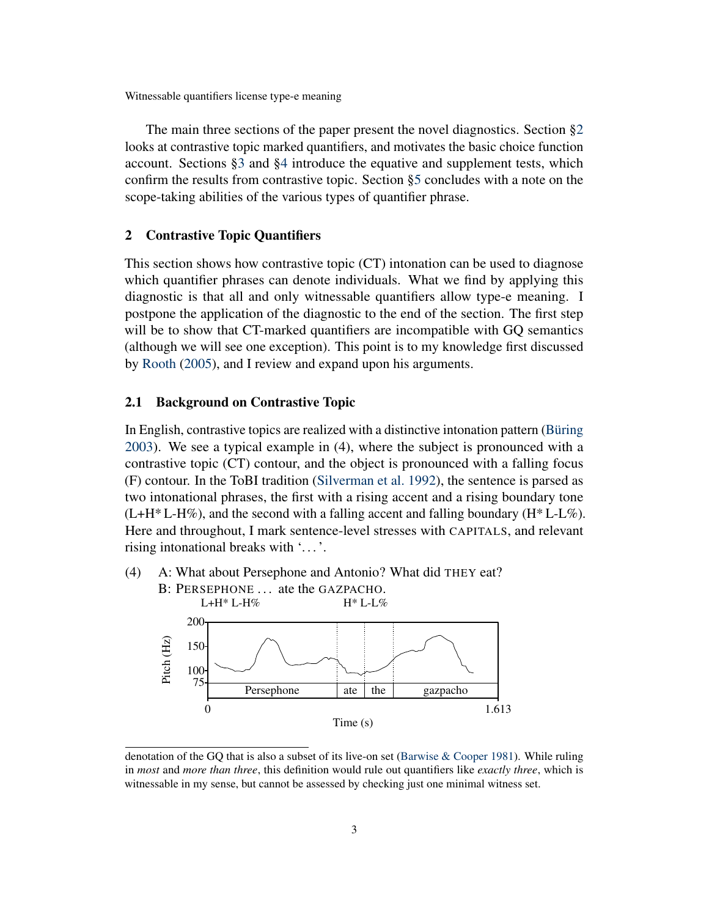The main three sections of the paper present the novel diagnostics. Section [§2](#page-2-0) looks at contrastive topic marked quantifiers, and motivates the basic choice function account. Sections [§3](#page-8-0) and [§4](#page-14-0) introduce the equative and supplement tests, which confirm the results from contrastive topic. Section [§5](#page-17-0) concludes with a note on the scope-taking abilities of the various types of quantifier phrase.

## <span id="page-2-0"></span>2 Contrastive Topic Quantifiers

This section shows how contrastive topic (CT) intonation can be used to diagnose which quantifier phrases can denote individuals. What we find by applying this diagnostic is that all and only witnessable quantifiers allow type-e meaning. I postpone the application of the diagnostic to the end of the section. The first step will be to show that CT-marked quantifiers are incompatible with GQ semantics (although we will see one exception). This point is to my knowledge first discussed by [Rooth](#page-19-1) [\(2005\)](#page-19-1), and I review and expand upon his arguments.

#### 2.1 Background on Contrastive Topic

In English, contrastive topics are realized with a distinctive intonation pattern [\(Büring](#page-18-2) [2003\)](#page-18-2). We see a typical example in (4), where the subject is pronounced with a contrastive topic (CT) contour, and the object is pronounced with a falling focus (F) contour. In the ToBI tradition [\(Silverman et al.](#page-19-2) [1992\)](#page-19-2), the sentence is parsed as two intonational phrases, the first with a rising accent and a rising boundary tone  $(L+H^*L+H\%)$ , and the second with a falling accent and falling boundary  $(H^*L+L\%)$ . Here and throughout, I mark sentence-level stresses with CAPITALS, and relevant rising intonational breaks with '...'.



denotation of the GQ that is also a subset of its live-on set [\(Barwise & Cooper](#page-18-3) [1981\)](#page-18-3). While ruling in *most* and *more than three*, this definition would rule out quantifiers like *exactly three*, which is witnessable in my sense, but cannot be assessed by checking just one minimal witness set.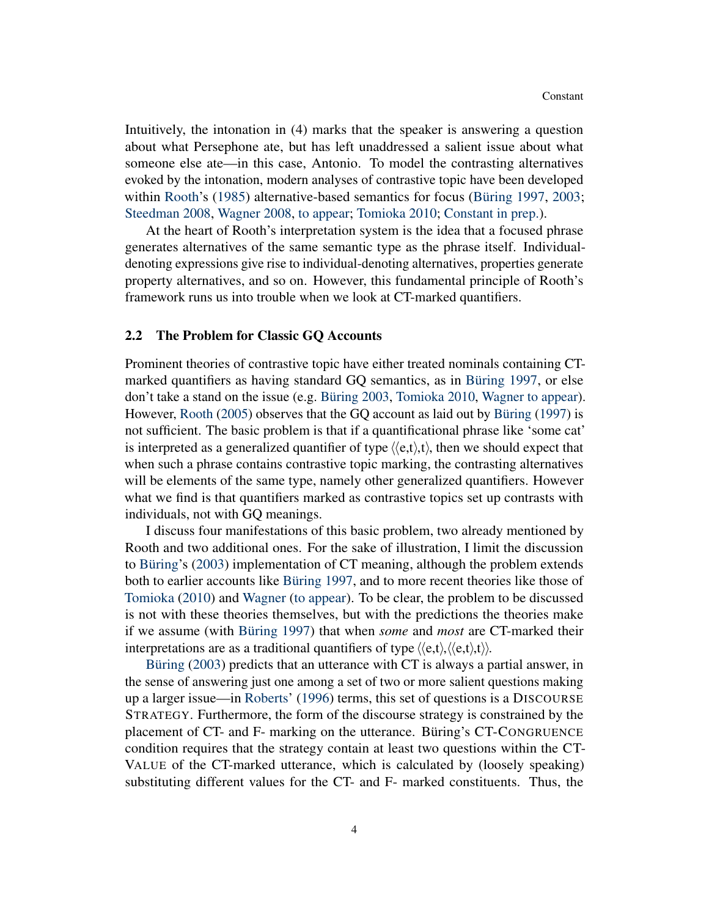Intuitively, the intonation in (4) marks that the speaker is answering a question about what Persephone ate, but has left unaddressed a salient issue about what someone else ate—in this case, Antonio. To model the contrasting alternatives evoked by the intonation, modern analyses of contrastive topic have been developed within [Rooth'](#page-19-3)s [\(1985\)](#page-19-3) alternative-based semantics for focus [\(Büring](#page-18-4) [1997,](#page-18-4) [2003;](#page-18-2) [Steedman](#page-20-2) [2008,](#page-20-2) [Wagner](#page-20-3) [2008,](#page-20-3) [to appear;](#page-20-4) [Tomioka](#page-20-5) [2010;](#page-20-5) [Constant](#page-18-5) [in prep.\)](#page-18-5).

At the heart of Rooth's interpretation system is the idea that a focused phrase generates alternatives of the same semantic type as the phrase itself. Individualdenoting expressions give rise to individual-denoting alternatives, properties generate property alternatives, and so on. However, this fundamental principle of Rooth's framework runs us into trouble when we look at CT-marked quantifiers.

#### 2.2 The Problem for Classic GQ Accounts

Prominent theories of contrastive topic have either treated nominals containing CTmarked quantifiers as having standard GQ semantics, as in [Büring](#page-18-4) [1997,](#page-18-4) or else don't take a stand on the issue (e.g. [Büring](#page-18-2) [2003,](#page-18-2) [Tomioka](#page-20-5) [2010,](#page-20-5) [Wagner](#page-20-4) [to appear\)](#page-20-4). However, [Rooth](#page-19-1) [\(2005\)](#page-19-1) observes that the GQ account as laid out by [Büring](#page-18-4) [\(1997\)](#page-18-4) is not sufficient. The basic problem is that if a quantificational phrase like 'some cat' is interpreted as a generalized quantifier of type  $\langle e, t \rangle$ , then we should expect that when such a phrase contains contrastive topic marking, the contrasting alternatives will be elements of the same type, namely other generalized quantifiers. However what we find is that quantifiers marked as contrastive topics set up contrasts with individuals, not with GQ meanings.

I discuss four manifestations of this basic problem, two already mentioned by Rooth and two additional ones. For the sake of illustration, I limit the discussion to [Büring'](#page-18-2)s [\(2003\)](#page-18-2) implementation of CT meaning, although the problem extends both to earlier accounts like [Büring](#page-18-4) [1997,](#page-18-4) and to more recent theories like those of [Tomioka](#page-20-5) [\(2010\)](#page-20-5) and [Wagner](#page-20-4) [\(to appear\)](#page-20-4). To be clear, the problem to be discussed is not with these theories themselves, but with the predictions the theories make if we assume (with [Büring](#page-18-4) [1997\)](#page-18-4) that when *some* and *most* are CT-marked their interpretations are as a traditional quantifiers of type  $\langle\langle e,t\rangle,\langle e,t\rangle,t\rangle$ .

[Büring](#page-18-2) [\(2003\)](#page-18-2) predicts that an utterance with CT is always a partial answer, in the sense of answering just one among a set of two or more salient questions making up a larger issue—in [Roberts'](#page-19-4) [\(1996\)](#page-19-4) terms, this set of questions is a DISCOURSE STRATEGY. Furthermore, the form of the discourse strategy is constrained by the placement of CT- and F- marking on the utterance. Büring's CT-CONGRUENCE condition requires that the strategy contain at least two questions within the CT-VALUE of the CT-marked utterance, which is calculated by (loosely speaking) substituting different values for the CT- and F- marked constituents. Thus, the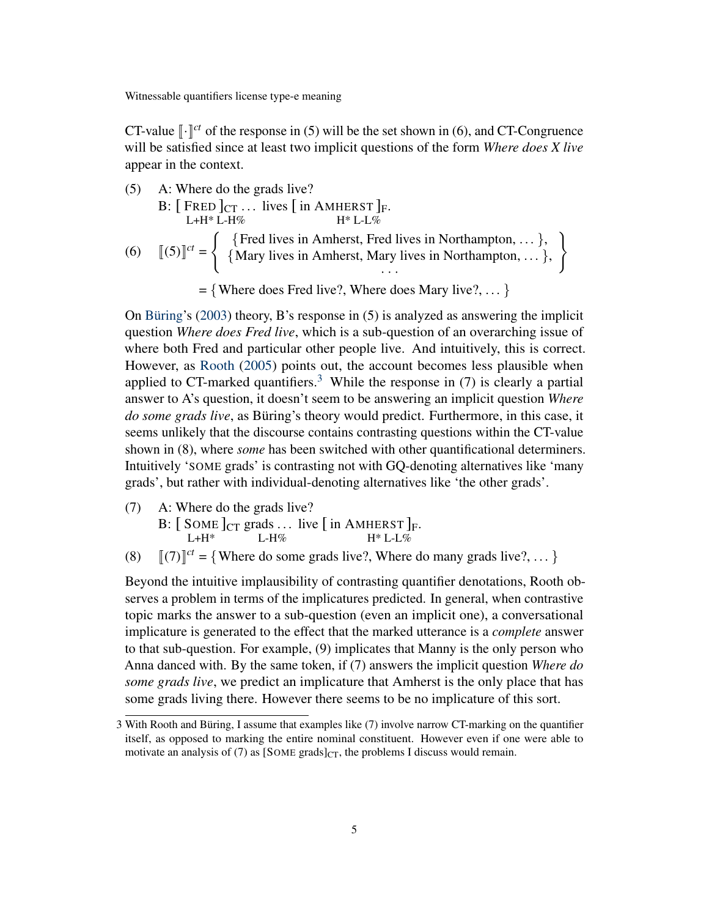CT-value  $\lbrack \cdot \rbrack^{ct}$  of the response in (5) will be the set shown in (6), and CT-Congruence will be satisfied since at least two implicit questions of the form *Where does X live* appear in the context.

(5) A: Where do the grads live? B:  $[$  FRED  $]_{CT}$  ... lives  $[$  in AMHERST  $]_F$ .  $L+H^* L-H\%$  $H^*$  L-L $\%$ (6)  $[(5)]^{ct} =$ ( {Fred lives in Amherst, Fred lives in Northampton, . . . }, {Mary lives in Amherst, Mary lives in Northampton, . . . }, · · ·  $\mathcal{L}$  $= \{$  Where does Fred live?, Where does Mary live?, ...  $\}$ 

On [Büring'](#page-18-2)s [\(2003\)](#page-18-2) theory, B's response in (5) is analyzed as answering the implicit question *Where does Fred live*, which is a sub-question of an overarching issue of where both Fred and particular other people live. And intuitively, this is correct. However, as [Rooth](#page-19-1) [\(2005\)](#page-19-1) points out, the account becomes less plausible when applied to CT-marked quantifiers.<sup>[3](#page-4-0)</sup> While the response in (7) is clearly a partial answer to A's question, it doesn't seem to be answering an implicit question *Where do some grads live*, as Büring's theory would predict. Furthermore, in this case, it seems unlikely that the discourse contains contrasting questions within the CT-value shown in (8), where *some* has been switched with other quantificational determiners. Intuitively 'SOME grads' is contrasting not with GQ-denoting alternatives like 'many grads', but rather with individual-denoting alternatives like 'the other grads'.

- (7) A: Where do the grads live?
	- B:  $[$  SOME  $]_{CT}$  grads ... live  $[$  in AMHERST  $]_F$ .  $L+H^*$  $L-H\%$  $H^*$  L-L%
- (8)  $[(7)]^{ct} = {$  Where do some grads live?, Where do many grads live?, ... }

Beyond the intuitive implausibility of contrasting quantifier denotations, Rooth observes a problem in terms of the implicatures predicted. In general, when contrastive topic marks the answer to a sub-question (even an implicit one), a conversational implicature is generated to the effect that the marked utterance is a *complete* answer to that sub-question. For example, (9) implicates that Manny is the only person who Anna danced with. By the same token, if (7) answers the implicit question *Where do some grads live*, we predict an implicature that Amherst is the only place that has some grads living there. However there seems to be no implicature of this sort.

<span id="page-4-0"></span><sup>3</sup> With Rooth and Büring, I assume that examples like (7) involve narrow CT-marking on the quantifier itself, as opposed to marking the entire nominal constituent. However even if one were able to motivate an analysis of (7) as  $[Some\ gradients]_{CT}$ , the problems I discuss would remain.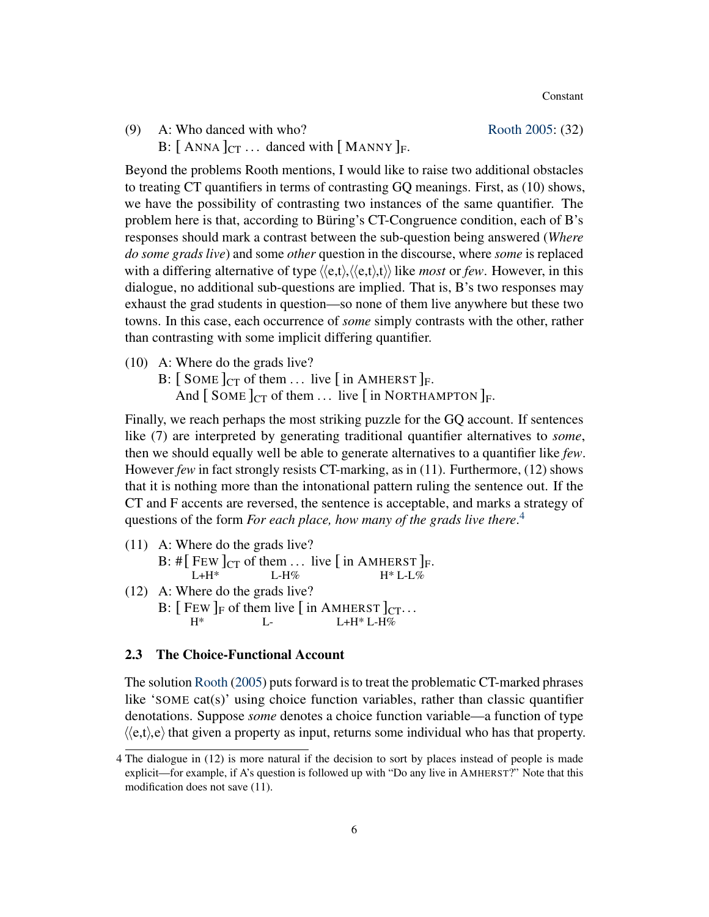(9) A: Who danced with who? [Rooth](#page-19-1) [2005:](#page-19-1) (32)

B:  $[$  ANNA  $]_{CT}$  ... danced with  $[$  MANNY  $]_F$ .

Beyond the problems Rooth mentions, I would like to raise two additional obstacles to treating CT quantifiers in terms of contrasting GQ meanings. First, as (10) shows, we have the possibility of contrasting two instances of the same quantifier. The problem here is that, according to Büring's CT-Congruence condition, each of B's responses should mark a contrast between the sub-question being answered (*Where do some grads live*) and some *other* question in the discourse, where *some* is replaced with a differing alternative of type  $\langle\langle e,t\rangle,\langle\langle e,t\rangle,t\rangle\rangle$  like *most* or *few*. However, in this dialogue, no additional sub-questions are implied. That is, B's two responses may exhaust the grad students in question—so none of them live anywhere but these two towns. In this case, each occurrence of *some* simply contrasts with the other, rather than contrasting with some implicit differing quantifier.

- (10) A: Where do the grads live?
	- B:  $\left[\right.$  SOME  $\right]_{CT}$  of them ... live  $\left[\right.$  in AMHERST  $\right]_F$ .

And  $\lceil$  SOME  $\lceil$ <sub>CT</sub> of them ... live  $\lceil$  in NORTHAMPTON  $\rceil$ <sub>F</sub>.

Finally, we reach perhaps the most striking puzzle for the GQ account. If sentences like (7) are interpreted by generating traditional quantifier alternatives to *some*, then we should equally well be able to generate alternatives to a quantifier like *few*. However *few* in fact strongly resists CT-marking, as in (11). Furthermore, (12) shows that it is nothing more than the intonational pattern ruling the sentence out. If the CT and F accents are reversed, the sentence is acceptable, and marks a strategy of questions of the form *For each place, how many of the grads live there*. [4](#page-5-0)

(11) A: Where do the grads live? B:  $\#$ [ FEW ]<sub>CT</sub> of them ... live [ in AMHERST ]<sub>F</sub>.  $L+H^*$ L-H%  $H^*$  L-L% (12) A: Where do the grads live? B:  $[$  FEW  $]_F$  of them live  $[$  in AMHERST  $]_{CT}$ ...  $H^*$  $L =$  $L+H^*$  L-H%

#### 2.3 The Choice-Functional Account

The solution [Rooth](#page-19-1) [\(2005\)](#page-19-1) puts forward is to treat the problematic CT-marked phrases like 'SOME cat(s)' using choice function variables, rather than classic quantifier denotations. Suppose *some* denotes a choice function variable—a function of type  $\langle\langle e,t\rangle, e\rangle$  that given a property as input, returns some individual who has that property.

<span id="page-5-0"></span><sup>4</sup> The dialogue in (12) is more natural if the decision to sort by places instead of people is made explicit—for example, if A's question is followed up with "Do any live in AMHERST?" Note that this modification does not save (11).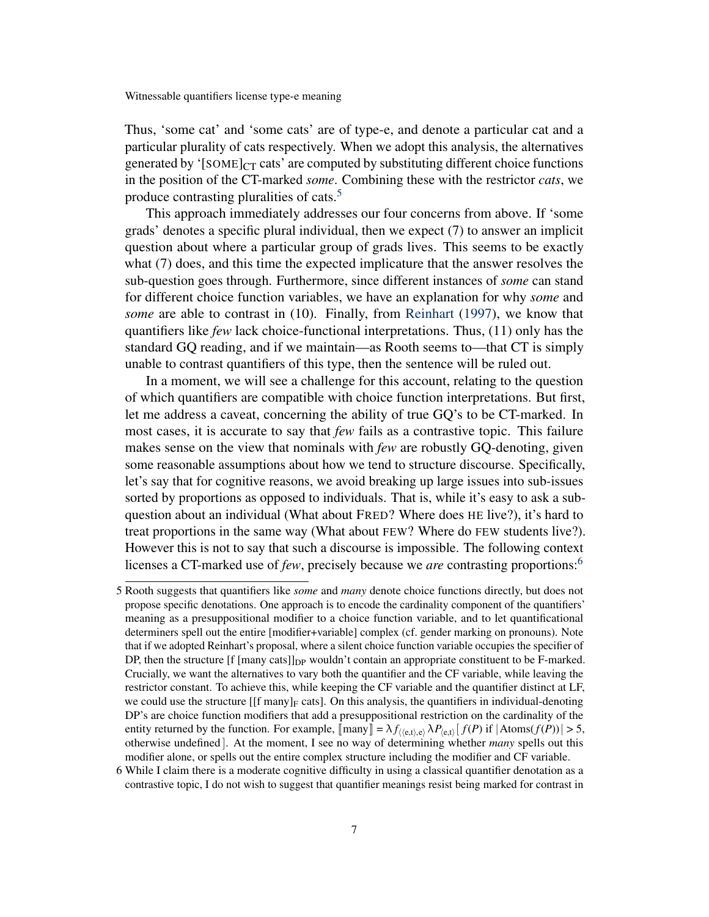Thus, 'some cat' and 'some cats' are of type-e, and denote a particular cat and a particular plurality of cats respectively. When we adopt this analysis, the alternatives generated by ' $[SOME]_{CT}$  cats' are computed by substituting different choice functions in the position of the CT-marked *some*. Combining these with the restrictor *cats*, we produce contrasting pluralities of cats.<sup>[5](#page-6-0)</sup>

This approach immediately addresses our four concerns from above. If 'some grads' denotes a specific plural individual, then we expect (7) to answer an implicit question about where a particular group of grads lives. This seems to be exactly what (7) does, and this time the expected implicature that the answer resolves the sub-question goes through. Furthermore, since different instances of *some* can stand for different choice function variables, we have an explanation for why *some* and *some* are able to contrast in (10). Finally, from [Reinhart](#page-19-0) [\(1997\)](#page-19-0), we know that quantifiers like *few* lack choice-functional interpretations. Thus, (11) only has the standard GQ reading, and if we maintain—as Rooth seems to—that CT is simply unable to contrast quantifiers of this type, then the sentence will be ruled out.

In a moment, we will see a challenge for this account, relating to the question of which quantifiers are compatible with choice function interpretations. But first, let me address a caveat, concerning the ability of true GQ's to be CT-marked. In most cases, it is accurate to say that *few* fails as a contrastive topic. This failure makes sense on the view that nominals with *few* are robustly GQ-denoting, given some reasonable assumptions about how we tend to structure discourse. Specifically, let's say that for cognitive reasons, we avoid breaking up large issues into sub-issues sorted by proportions as opposed to individuals. That is, while it's easy to ask a subquestion about an individual (What about FRED? Where does HE live?), it's hard to treat proportions in the same way (What about FEW? Where do FEW students live?). However this is not to say that such a discourse is impossible. The following context licenses a CT-marked use of *few*, precisely because we *are* contrasting proportions:[6](#page-6-1)

<span id="page-6-0"></span><sup>5</sup> Rooth suggests that quantifiers like *some* and *many* denote choice functions directly, but does not propose specific denotations. One approach is to encode the cardinality component of the quantifiers' meaning as a presuppositional modifier to a choice function variable, and to let quantificational determiners spell out the entire [modifier+variable] complex (cf. gender marking on pronouns). Note that if we adopted Reinhart's proposal, where a silent choice function variable occupies the specifier of DP, then the structure  $[f$  [many cats]] $_{DP}$  wouldn't contain an appropriate constituent to be F-marked. Crucially, we want the alternatives to vary both the quantifier and the CF variable, while leaving the restrictor constant. To achieve this, while keeping the CF variable and the quantifier distinct at LF, we could use the structure  $[[f \text{ many}]_F \text{ cats}]$ . On this analysis, the quantifiers in individual-denoting DP's are choice function modifiers that add a presuppositional restriction on the cardinality of the entity returned by the function. For example,  $[\text{many}] = \lambda f_{\langle e,t\rangle,e} \lambda P_{\langle e,t\rangle} [f(P) \text{ if } |\text{Atoms}(f(P))| > 5$ , otherwise undefined ]. At the moment, I see no way of determining whether *many* spells out this modifier alone, or spells out the entire complex structure including the modifier and CF variable.

<span id="page-6-1"></span><sup>6</sup> While I claim there is a moderate cognitive difficulty in using a classical quantifier denotation as a contrastive topic, I do not wish to suggest that quantifier meanings resist being marked for contrast in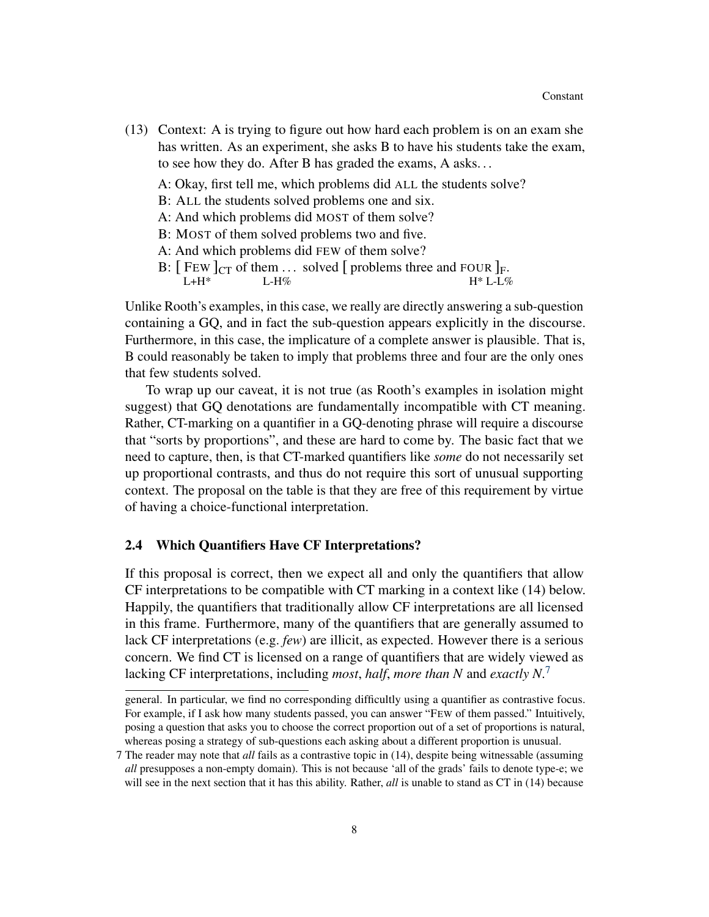(13) Context: A is trying to figure out how hard each problem is on an exam she has written. As an experiment, she asks B to have his students take the exam, to see how they do. After B has graded the exams, A asks. . .

A: Okay, first tell me, which problems did ALL the students solve?

- B: ALL the students solved problems one and six.
- A: And which problems did MOST of them solve?
- B: MOST of them solved problems two and five.
- A: And which problems did FEW of them solve?
- B:  $[$  FEW  $]_{CT}$  of them ... solved  $[$  problems three and FOUR  $]_F$ .  $L+H^*$ L-H% H\* L-L%

Unlike Rooth's examples, in this case, we really are directly answering a sub-question containing a GQ, and in fact the sub-question appears explicitly in the discourse. Furthermore, in this case, the implicature of a complete answer is plausible. That is, B could reasonably be taken to imply that problems three and four are the only ones that few students solved.

To wrap up our caveat, it is not true (as Rooth's examples in isolation might suggest) that GQ denotations are fundamentally incompatible with CT meaning. Rather, CT-marking on a quantifier in a GQ-denoting phrase will require a discourse that "sorts by proportions", and these are hard to come by. The basic fact that we need to capture, then, is that CT-marked quantifiers like *some* do not necessarily set up proportional contrasts, and thus do not require this sort of unusual supporting context. The proposal on the table is that they are free of this requirement by virtue of having a choice-functional interpretation.

#### 2.4 Which Quantifiers Have CF Interpretations?

If this proposal is correct, then we expect all and only the quantifiers that allow CF interpretations to be compatible with CT marking in a context like (14) below. Happily, the quantifiers that traditionally allow CF interpretations are all licensed in this frame. Furthermore, many of the quantifiers that are generally assumed to lack CF interpretations (e.g. *few*) are illicit, as expected. However there is a serious concern. We find CT is licensed on a range of quantifiers that are widely viewed as lacking CF interpretations, including *most*, *half*, *more than N* and *exactly N*. [7](#page-7-0)

general. In particular, we find no corresponding difficultly using a quantifier as contrastive focus. For example, if I ask how many students passed, you can answer "FEW of them passed." Intuitively, posing a question that asks you to choose the correct proportion out of a set of proportions is natural, whereas posing a strategy of sub-questions each asking about a different proportion is unusual.

<span id="page-7-0"></span><sup>7</sup> The reader may note that *all* fails as a contrastive topic in (14), despite being witnessable (assuming *all* presupposes a non-empty domain). This is not because 'all of the grads' fails to denote type-e; we will see in the next section that it has this ability. Rather, *all* is unable to stand as CT in (14) because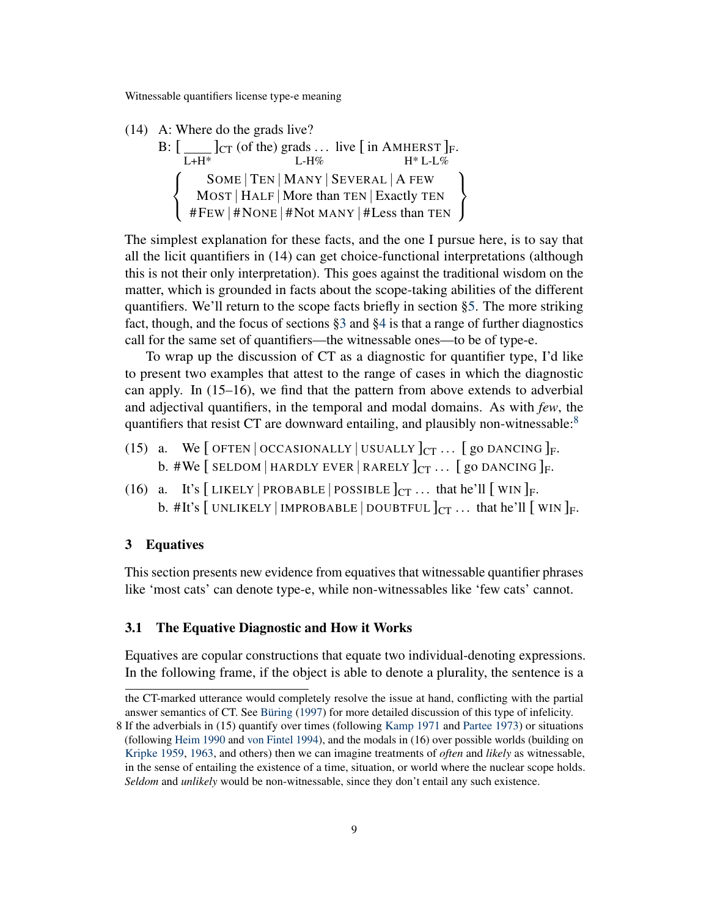(14) A: Where do the grads live?

B: 
$$
\left[\begin{array}{c|c|c}C\text{Tr}\left(\text{of the}\right)\text{grads} \dots \text{ live}\left[\begin{array}{c|c} \text{in AMHERST}\right]_{\text{F}}.\end{array}\right.\right.\left.\left.\begin{array}{c|c}C\text{Tr}\left(\text{of the}\right)\text{grads} \dots \text{ live}\left[\begin{array}{c|c} \text{in AMHERST}\right]_{\text{F}}.\end{array}\right.\right.\\\left.\left.\begin{array}{c|c}SOME & TEN & MANY & SEVERAL & A FEW \text{MOST} & HALF & More than TEN & Exactly TEN \end{array}\right.\right\}
$$

The simplest explanation for these facts, and the one I pursue here, is to say that all the licit quantifiers in (14) can get choice-functional interpretations (although this is not their only interpretation). This goes against the traditional wisdom on the matter, which is grounded in facts about the scope-taking abilities of the different quantifiers. We'll return to the scope facts briefly in section [§5.](#page-17-0) The more striking fact, though, and the focus of sections [§3](#page-8-0) and [§4](#page-14-0) is that a range of further diagnostics call for the same set of quantifiers—the witnessable ones—to be of type-e.

To wrap up the discussion of CT as a diagnostic for quantifier type, I'd like to present two examples that attest to the range of cases in which the diagnostic can apply. In (15–16), we find that the pattern from above extends to adverbial and adjectival quantifiers, in the temporal and modal domains. As with *few*, the quantifiers that resist CT are downward entailing, and plausibly non-witnessable: $8$ 

- (15) a. We  $\lceil$  OFTEN  $\lceil$  OCCASIONALLY  $\lceil$  USUALLY  $\lceil$ <sub>CT</sub> ...  $\lceil$  go DANCING  $\rceil$ <sub>F</sub>. b. #We [SELDOM | HARDLY EVER | RARELY  $]_{CT}$  ... [go DANCING ]<sub>F</sub>.
- (16) a. It's [LIKELY | PROBABLE | POSSIBLE  $]_{CT}$  ... that he'll [WIN ]<sub>F</sub>. b. #It's  $[$  UNLIKELY | IMPROBABLE | DOUBTFUL  $]_{CT}$  ... that he'll  $[$  WIN  $]_F$ .

## <span id="page-8-0"></span>3 Equatives

This section presents new evidence from equatives that witnessable quantifier phrases like 'most cats' can denote type-e, while non-witnessables like 'few cats' cannot.

# 3.1 The Equative Diagnostic and How it Works

Equatives are copular constructions that equate two individual-denoting expressions. In the following frame, if the object is able to denote a plurality, the sentence is a

the CT-marked utterance would completely resolve the issue at hand, conflicting with the partial answer semantics of CT. See [Büring](#page-18-4) [\(1997\)](#page-18-4) for more detailed discussion of this type of infelicity.

<span id="page-8-1"></span><sup>8</sup> If the adverbials in (15) quantify over times (following [Kamp](#page-18-6) [1971](#page-18-6) and [Partee](#page-19-5) [1973\)](#page-19-5) or situations (following [Heim](#page-18-7) [1990](#page-18-7) and [von Fintel](#page-20-6) [1994\)](#page-20-6), and the modals in (16) over possible worlds (building on [Kripke](#page-18-8) [1959,](#page-18-8) [1963,](#page-18-9) and others) then we can imagine treatments of *often* and *likely* as witnessable, in the sense of entailing the existence of a time, situation, or world where the nuclear scope holds. *Seldom* and *unlikely* would be non-witnessable, since they don't entail any such existence.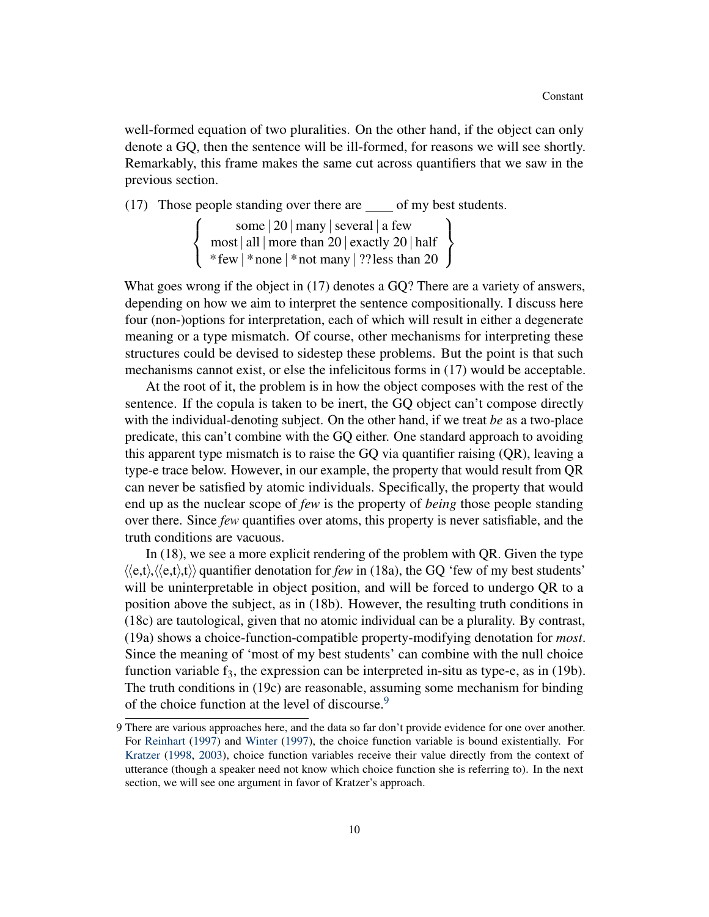well-formed equation of two pluralities. On the other hand, if the object can only denote a GQ, then the sentence will be ill-formed, for reasons we will see shortly. Remarkably, this frame makes the same cut across quantifiers that we saw in the previous section.

(17) Those people standing over there are  $\_\_$  of my best students.

 $\sqrt{ }$  $\int$  $\mathcal{L}$ some | 20 | many |several | a few most | all | more than 20 | exactly 20 | half \* few | \* none | \* not many | ??less than 20  $\mathcal{L}$  $\mathcal{L}$  $\int$ 

What goes wrong if the object in (17) denotes a GQ? There are a variety of answers, depending on how we aim to interpret the sentence compositionally. I discuss here four (non-)options for interpretation, each of which will result in either a degenerate meaning or a type mismatch. Of course, other mechanisms for interpreting these structures could be devised to sidestep these problems. But the point is that such mechanisms cannot exist, or else the infelicitous forms in (17) would be acceptable.

At the root of it, the problem is in how the object composes with the rest of the sentence. If the copula is taken to be inert, the GQ object can't compose directly with the individual-denoting subject. On the other hand, if we treat *be* as a two-place predicate, this can't combine with the GQ either. One standard approach to avoiding this apparent type mismatch is to raise the GQ via quantifier raising (QR), leaving a type-e trace below. However, in our example, the property that would result from QR can never be satisfied by atomic individuals. Specifically, the property that would end up as the nuclear scope of *few* is the property of *being* those people standing over there. Since *few* quantifies over atoms, this property is never satisfiable, and the truth conditions are vacuous.

In (18), we see a more explicit rendering of the problem with QR. Given the type  $\langle\langle e,t\rangle,\langle\langle e,t\rangle,t\rangle\rangle$  quantifier denotation for *few* in (18a), the GQ 'few of my best students' will be uninterpretable in object position, and will be forced to undergo QR to a position above the subject, as in (18b). However, the resulting truth conditions in (18c) are tautological, given that no atomic individual can be a plurality. By contrast, (19a) shows a choice-function-compatible property-modifying denotation for *most*. Since the meaning of 'most of my best students' can combine with the null choice function variable  $f_3$ , the expression can be interpreted in-situ as type-e, as in (19b). The truth conditions in (19c) are reasonable, assuming some mechanism for binding of the choice function at the level of discourse.<sup>[9](#page-9-0)</sup>

<span id="page-9-0"></span><sup>9</sup> There are various approaches here, and the data so far don't provide evidence for one over another. For [Reinhart](#page-19-0) [\(1997\)](#page-19-0) and [Winter](#page-20-7) [\(1997\)](#page-20-7), the choice function variable is bound existentially. For [Kratzer](#page-18-10) [\(1998,](#page-18-10) [2003\)](#page-18-11), choice function variables receive their value directly from the context of utterance (though a speaker need not know which choice function she is referring to). In the next section, we will see one argument in favor of Kratzer's approach.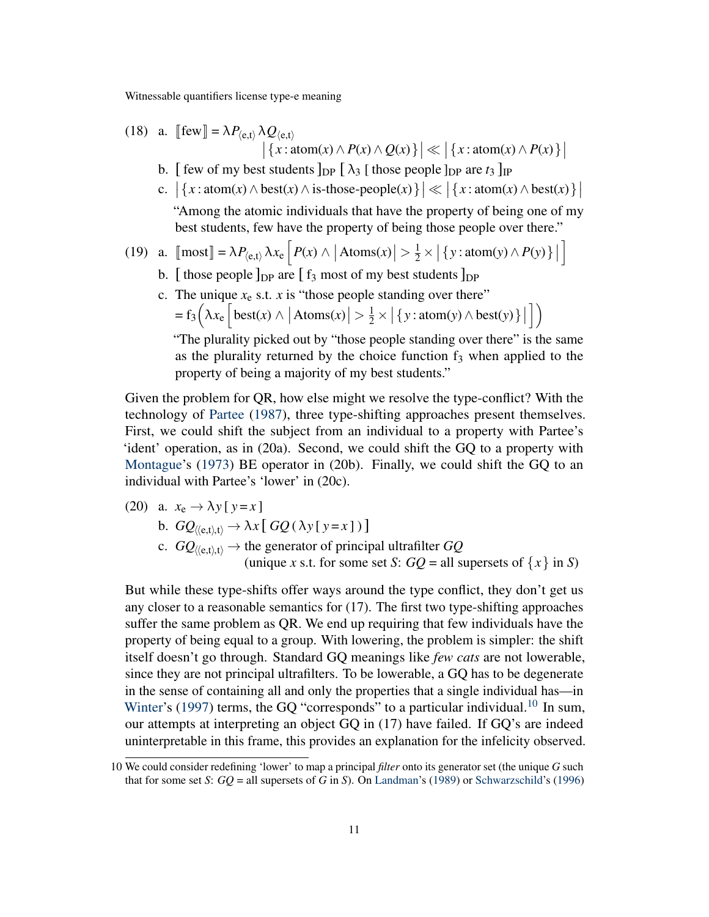(18) a. 
$$
\llbracket \text{few} \rrbracket = \lambda P_{\langle e,t \rangle} \lambda Q_{\langle e,t \rangle}
$$

 $\left| \left\{ x : \operatorname{atom}(x) \land P(x) \land Q(x) \right\} \right| \ll \left| \left\{ x : \operatorname{atom}(x) \land P(x) \right\} \right|$ 

- b. [ few of my best students  $\log \left[ \lambda_3 \right]$  [ those people  $\log \left( \frac{t_3}{\log \theta_3} \right)$
- c.  $|\{x: \text{atom}(x) \land \text{best}(x) \land \text{is-those-people}(x)\}| \ll |\{x: \text{atom}(x) \land \text{best}(x)\}|$

"Among the atomic individuals that have the property of being one of my best students, few have the property of being those people over there."

(19) a. 
$$
\text{[most]} = \lambda P_{\langle e,t \rangle} \lambda x_e \left[ P(x) \wedge |\text{Atoms}(x)| > \frac{1}{2} \times |\{y : \text{atom}(y) \wedge P(y)\}| \right]
$$

- b. [those people  $\log$  are [f<sub>3</sub> most of my best students  $\log$
- c. The unique  $x_e$  s.t. *x* is "those people standing over there"  $= f_3\left(\lambda x_e \left[ \text{best}(x) \wedge \left| \text{Atoms}(x) \right| > \frac{1}{2} \times \left| \left\{ y : \text{atom}(y) \wedge \text{best}(y) \right\} \right| \right) \right)$  $\left| \ \right\rangle$

"The plurality picked out by "those people standing over there" is the same as the plurality returned by the choice function  $f_3$  when applied to the property of being a majority of my best students."

Given the problem for QR, how else might we resolve the type-conflict? With the technology of [Partee](#page-19-6) [\(1987\)](#page-19-6), three type-shifting approaches present themselves. First, we could shift the subject from an individual to a property with Partee's 'ident' operation, as in (20a). Second, we could shift the GQ to a property with [Montague'](#page-19-7)s [\(1973\)](#page-19-7) BE operator in (20b). Finally, we could shift the GQ to an individual with Partee's 'lower' in (20c).

(20) a.  $x_e \rightarrow \lambda y [ y = x ]$ 

b.  $GQ_{\langle\langle e,t\rangle,t\rangle} \rightarrow \lambda x [ GQ(\lambda y [ y = x ] ) ]$ 

c.  $GQ_{\langle\langle e,t\rangle,t\rangle} \rightarrow$  the generator of principal ultrafilter  $GQ$ (unique *x* s.t. for some set *S*:  $GO =$  all supersets of  $\{x\}$  in *S*)

But while these type-shifts offer ways around the type conflict, they don't get us any closer to a reasonable semantics for (17). The first two type-shifting approaches suffer the same problem as QR. We end up requiring that few individuals have the property of being equal to a group. With lowering, the problem is simpler: the shift itself doesn't go through. Standard GQ meanings like *few cats* are not lowerable, since they are not principal ultrafilters. To be lowerable, a GQ has to be degenerate in the sense of containing all and only the properties that a single individual has—in [Winter'](#page-20-7)s [\(1997\)](#page-20-7) terms, the GQ "corresponds" to a particular individual.<sup>[10](#page-10-0)</sup> In sum, our attempts at interpreting an object GQ in (17) have failed. If GQ's are indeed uninterpretable in this frame, this provides an explanation for the infelicity observed.

<span id="page-10-0"></span><sup>10</sup> We could consider redefining 'lower' to map a principal *filter* onto its generator set (the unique *G* such that for some set *S*: *GQ* = all supersets of *G* in *S*). On [Landman'](#page-19-8)s [\(1989\)](#page-19-8) or [Schwarzschild'](#page-19-9)s [\(1996\)](#page-19-9)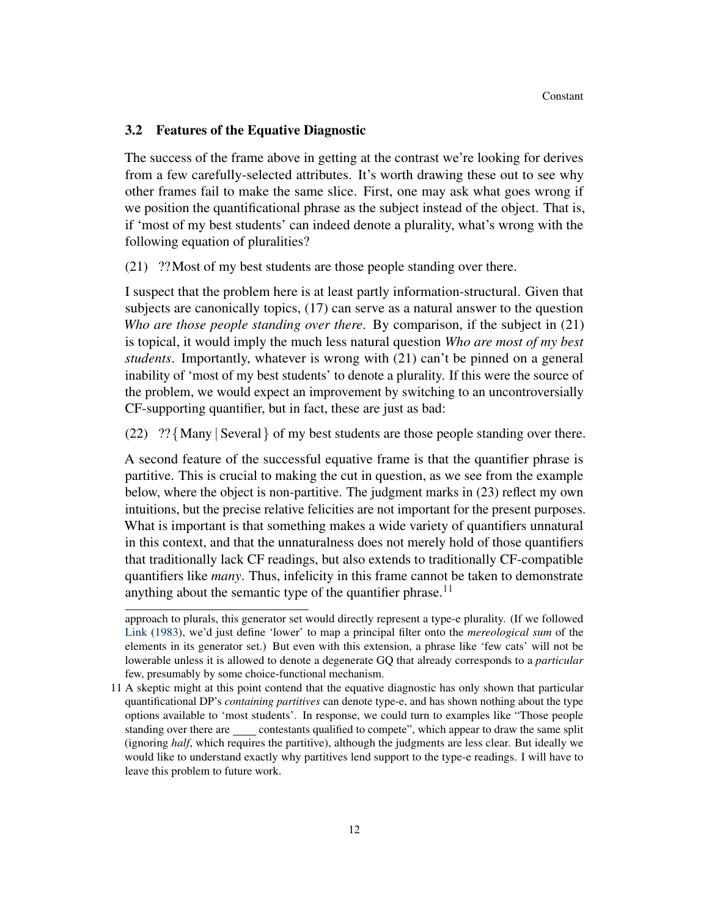## 3.2 Features of the Equative Diagnostic

The success of the frame above in getting at the contrast we're looking for derives from a few carefully-selected attributes. It's worth drawing these out to see why other frames fail to make the same slice. First, one may ask what goes wrong if we position the quantificational phrase as the subject instead of the object. That is, if 'most of my best students' can indeed denote a plurality, what's wrong with the following equation of pluralities?

(21) ??Most of my best students are those people standing over there.

I suspect that the problem here is at least partly information-structural. Given that subjects are canonically topics, (17) can serve as a natural answer to the question *Who are those people standing over there*. By comparison, if the subject in (21) is topical, it would imply the much less natural question *Who are most of my best students*. Importantly, whatever is wrong with (21) can't be pinned on a general inability of 'most of my best students' to denote a plurality. If this were the source of the problem, we would expect an improvement by switching to an uncontroversially CF-supporting quantifier, but in fact, these are just as bad:

(22) ?? {Many | Several } of my best students are those people standing over there.

A second feature of the successful equative frame is that the quantifier phrase is partitive. This is crucial to making the cut in question, as we see from the example below, where the object is non-partitive. The judgment marks in (23) reflect my own intuitions, but the precise relative felicities are not important for the present purposes. What is important is that something makes a wide variety of quantifiers unnatural in this context, and that the unnaturalness does not merely hold of those quantifiers that traditionally lack CF readings, but also extends to traditionally CF-compatible quantifiers like *many*. Thus, infelicity in this frame cannot be taken to demonstrate anything about the semantic type of the quantifier phrase.<sup>[11](#page-11-0)</sup>

approach to plurals, this generator set would directly represent a type-e plurality. (If we followed [Link](#page-19-10) [\(1983\)](#page-19-10), we'd just define 'lower' to map a principal filter onto the *mereological sum* of the elements in its generator set.) But even with this extension, a phrase like 'few cats' will not be lowerable unless it is allowed to denote a degenerate GQ that already corresponds to a *particular* few, presumably by some choice-functional mechanism.

<span id="page-11-0"></span><sup>11</sup> A skeptic might at this point contend that the equative diagnostic has only shown that particular quantificational DP's *containing partitives* can denote type-e, and has shown nothing about the type options available to 'most students'. In response, we could turn to examples like "Those people standing over there are contestants qualified to compete", which appear to draw the same split (ignoring *half*, which requires the partitive), although the judgments are less clear. But ideally we would like to understand exactly why partitives lend support to the type-e readings. I will have to leave this problem to future work.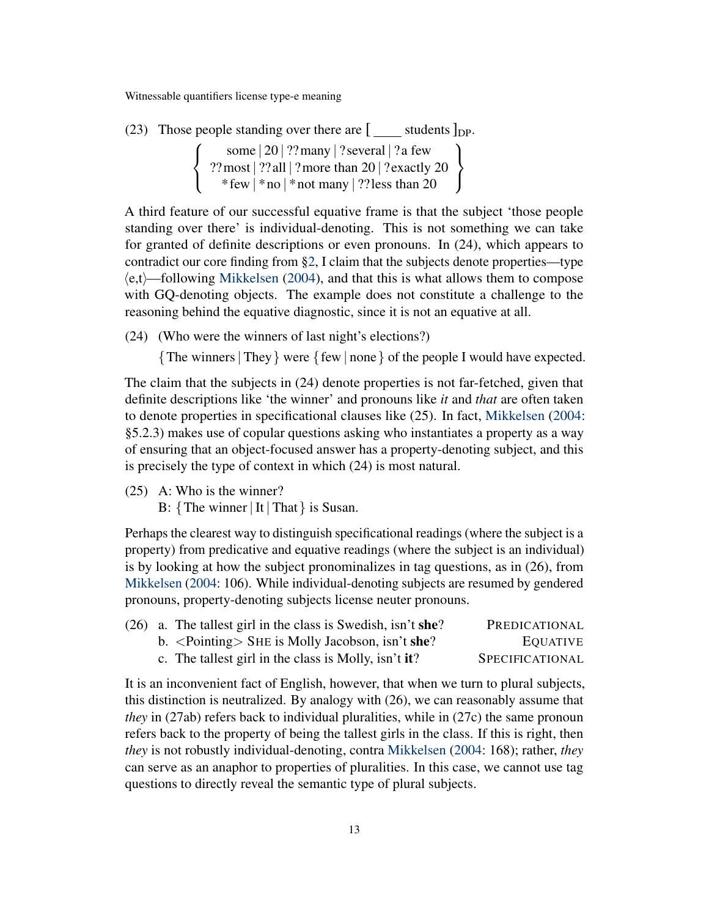(23) Those people standing over there are  $\lceil$  students  $\rceil_{\text{DP}}$ .

 $\sqrt{ }$  $\int$  $\mathcal{L}$ some | 20 | ??many | ? several | ?a few ??most | ??all | ?more than  $20$  | ?exactly  $20$ \* few | \* no | \* not many | ??less than 20  $\mathcal{L}$  $\mathcal{L}$  $\int$ 

A third feature of our successful equative frame is that the subject 'those people standing over there' is individual-denoting. This is not something we can take for granted of definite descriptions or even pronouns. In (24), which appears to contradict our core finding from [§2,](#page-2-0) I claim that the subjects denote properties—type  $\langle e,t\rangle$ —following [Mikkelsen](#page-19-11) [\(2004\)](#page-19-11), and that this is what allows them to compose with GQ-denoting objects. The example does not constitute a challenge to the reasoning behind the equative diagnostic, since it is not an equative at all.

(24) (Who were the winners of last night's elections?)

{The winners| They} were {few | none} of the people I would have expected.

The claim that the subjects in (24) denote properties is not far-fetched, given that definite descriptions like 'the winner' and pronouns like *it* and *that* are often taken to denote properties in specificational clauses like (25). In fact, [Mikkelsen](#page-19-11) [\(2004:](#page-19-11) §5.2.3) makes use of copular questions asking who instantiates a property as a way of ensuring that an object-focused answer has a property-denoting subject, and this is precisely the type of context in which (24) is most natural.

(25) A: Who is the winner?

B: {The winner | It | That} is Susan.

Perhaps the clearest way to distinguish specificational readings (where the subject is a property) from predicative and equative readings (where the subject is an individual) is by looking at how the subject pronominalizes in tag questions, as in (26), from [Mikkelsen](#page-19-11) [\(2004:](#page-19-11) 106). While individual-denoting subjects are resumed by gendered pronouns, property-denoting subjects license neuter pronouns.

|  | $(26)$ a. The tallest girl in the class is Swedish, isn't she?    | PREDICATIONAL   |
|--|-------------------------------------------------------------------|-----------------|
|  | b. $\langle$ Pointing $\rangle$ SHE is Molly Jacobson, isn't she? | <b>EQUATIVE</b> |
|  | c. The tallest girl in the class is Molly, isn't it?              | SPECIFICATIONAL |

It is an inconvenient fact of English, however, that when we turn to plural subjects, this distinction is neutralized. By analogy with (26), we can reasonably assume that *they* in (27ab) refers back to individual pluralities, while in (27c) the same pronoun refers back to the property of being the tallest girls in the class. If this is right, then *they* is not robustly individual-denoting, contra [Mikkelsen](#page-19-11) [\(2004:](#page-19-11) 168); rather, *they* can serve as an anaphor to properties of pluralities. In this case, we cannot use tag questions to directly reveal the semantic type of plural subjects.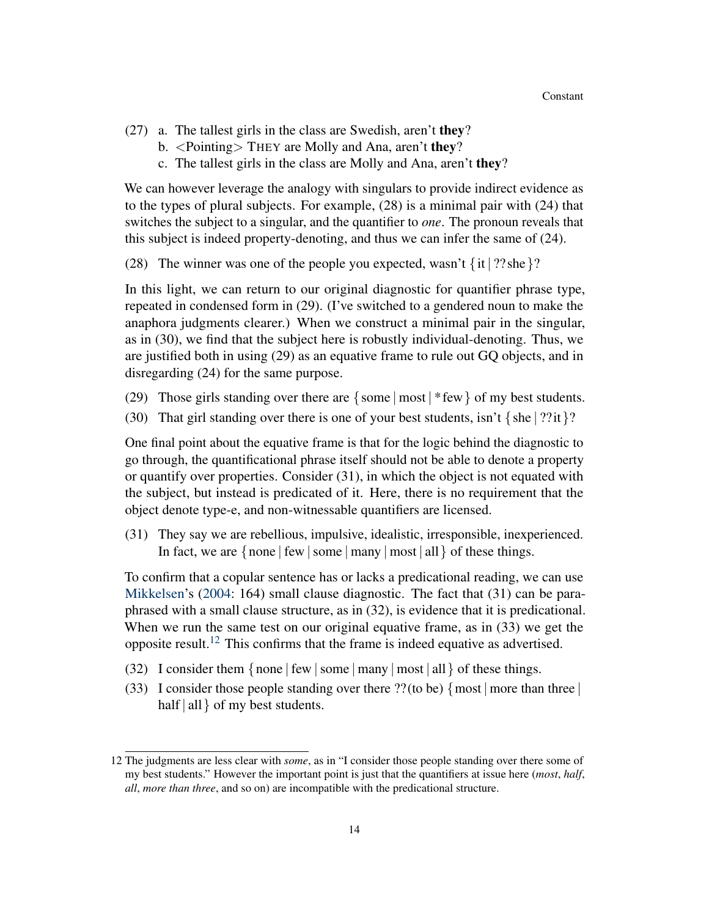- (27) a. The tallest girls in the class are Swedish, aren't they?
	- b. <Pointing> THEY are Molly and Ana, aren't they?
	- c. The tallest girls in the class are Molly and Ana, aren't they?

We can however leverage the analogy with singulars to provide indirect evidence as to the types of plural subjects. For example, (28) is a minimal pair with (24) that switches the subject to a singular, and the quantifier to *one*. The pronoun reveals that this subject is indeed property-denoting, and thus we can infer the same of (24).

(28) The winner was one of the people you expected, wasn't  $\{it | ?? she\}$ ?

In this light, we can return to our original diagnostic for quantifier phrase type, repeated in condensed form in (29). (I've switched to a gendered noun to make the anaphora judgments clearer.) When we construct a minimal pair in the singular, as in (30), we find that the subject here is robustly individual-denoting. Thus, we are justified both in using (29) as an equative frame to rule out GQ objects, and in disregarding (24) for the same purpose.

- (29) Those girls standing over there are  $\{\text{some} \mid \text{most} \mid \text{few}\}$  of my best students.
- (30) That girl standing over there is one of your best students, isn't  $\{\text{she} | ??$ it $\}$ ?

One final point about the equative frame is that for the logic behind the diagnostic to go through, the quantificational phrase itself should not be able to denote a property or quantify over properties. Consider (31), in which the object is not equated with the subject, but instead is predicated of it. Here, there is no requirement that the object denote type-e, and non-witnessable quantifiers are licensed.

(31) They say we are rebellious, impulsive, idealistic, irresponsible, inexperienced. In fact, we are  $\{none | few | some | many | most | all \}$  of these things.

To confirm that a copular sentence has or lacks a predicational reading, we can use [Mikkelsen'](#page-19-11)s [\(2004:](#page-19-11) 164) small clause diagnostic. The fact that (31) can be paraphrased with a small clause structure, as in (32), is evidence that it is predicational. When we run the same test on our original equative frame, as in (33) we get the opposite result.<sup>[12](#page-13-0)</sup> This confirms that the frame is indeed equative as advertised.

- (32) I consider them  $\{none | few | some | many | most | all \}$  of these things.
- (33) I consider those people standing over there ?? (to be)  $\{ \text{most} \mid \text{more than three} \}$ half  $|$  all  $\rangle$  of my best students.

<span id="page-13-0"></span><sup>12</sup> The judgments are less clear with *some*, as in "I consider those people standing over there some of my best students." However the important point is just that the quantifiers at issue here (*most*, *half*, *all*, *more than three*, and so on) are incompatible with the predicational structure.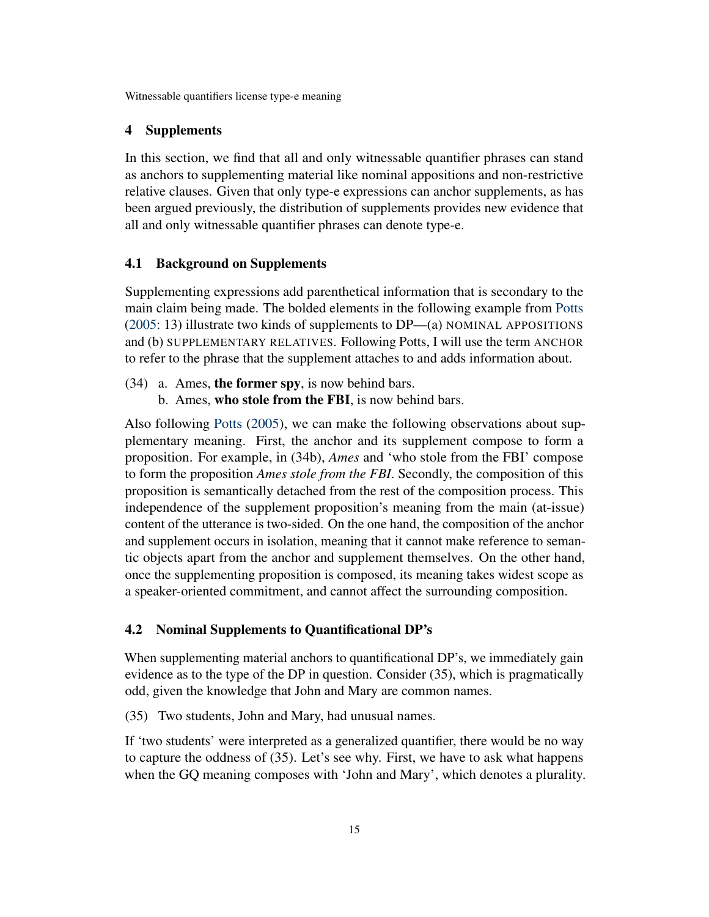#### <span id="page-14-0"></span>4 Supplements

In this section, we find that all and only witnessable quantifier phrases can stand as anchors to supplementing material like nominal appositions and non-restrictive relative clauses. Given that only type-e expressions can anchor supplements, as has been argued previously, the distribution of supplements provides new evidence that all and only witnessable quantifier phrases can denote type-e.

## 4.1 Background on Supplements

Supplementing expressions add parenthetical information that is secondary to the main claim being made. The bolded elements in the following example from [Potts](#page-19-12) [\(2005:](#page-19-12) 13) illustrate two kinds of supplements to DP—(a) NOMINAL APPOSITIONS and (b) SUPPLEMENTARY RELATIVES. Following Potts, I will use the term ANCHOR to refer to the phrase that the supplement attaches to and adds information about.

- (34) a. Ames, the former spy, is now behind bars.
	- b. Ames, who stole from the FBI, is now behind bars.

Also following [Potts](#page-19-12) [\(2005\)](#page-19-12), we can make the following observations about supplementary meaning. First, the anchor and its supplement compose to form a proposition. For example, in (34b), *Ames* and 'who stole from the FBI' compose to form the proposition *Ames stole from the FBI*. Secondly, the composition of this proposition is semantically detached from the rest of the composition process. This independence of the supplement proposition's meaning from the main (at-issue) content of the utterance is two-sided. On the one hand, the composition of the anchor and supplement occurs in isolation, meaning that it cannot make reference to semantic objects apart from the anchor and supplement themselves. On the other hand, once the supplementing proposition is composed, its meaning takes widest scope as a speaker-oriented commitment, and cannot affect the surrounding composition.

#### 4.2 Nominal Supplements to Quantificational DP's

When supplementing material anchors to quantificational DP's, we immediately gain evidence as to the type of the DP in question. Consider (35), which is pragmatically odd, given the knowledge that John and Mary are common names.

(35) Two students, John and Mary, had unusual names.

If 'two students' were interpreted as a generalized quantifier, there would be no way to capture the oddness of (35). Let's see why. First, we have to ask what happens when the GQ meaning composes with 'John and Mary', which denotes a plurality.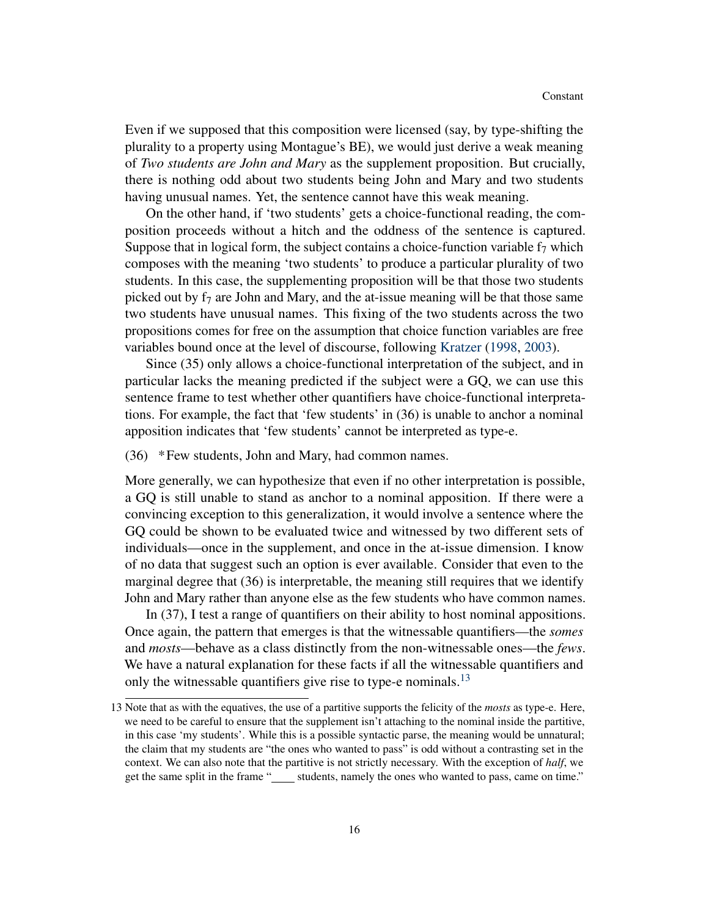Even if we supposed that this composition were licensed (say, by type-shifting the plurality to a property using Montague's BE), we would just derive a weak meaning of *Two students are John and Mary* as the supplement proposition. But crucially, there is nothing odd about two students being John and Mary and two students having unusual names. Yet, the sentence cannot have this weak meaning.

On the other hand, if 'two students' gets a choice-functional reading, the composition proceeds without a hitch and the oddness of the sentence is captured. Suppose that in logical form, the subject contains a choice-function variable  $f_7$  which composes with the meaning 'two students' to produce a particular plurality of two students. In this case, the supplementing proposition will be that those two students picked out by  $f_7$  are John and Mary, and the at-issue meaning will be that those same two students have unusual names. This fixing of the two students across the two propositions comes for free on the assumption that choice function variables are free variables bound once at the level of discourse, following [Kratzer](#page-18-10) [\(1998,](#page-18-10) [2003\)](#page-18-11).

Since (35) only allows a choice-functional interpretation of the subject, and in particular lacks the meaning predicted if the subject were a GQ, we can use this sentence frame to test whether other quantifiers have choice-functional interpretations. For example, the fact that 'few students' in (36) is unable to anchor a nominal apposition indicates that 'few students' cannot be interpreted as type-e.

#### (36) \*Few students, John and Mary, had common names.

More generally, we can hypothesize that even if no other interpretation is possible, a GQ is still unable to stand as anchor to a nominal apposition. If there were a convincing exception to this generalization, it would involve a sentence where the GQ could be shown to be evaluated twice and witnessed by two different sets of individuals—once in the supplement, and once in the at-issue dimension. I know of no data that suggest such an option is ever available. Consider that even to the marginal degree that (36) is interpretable, the meaning still requires that we identify John and Mary rather than anyone else as the few students who have common names.

In (37), I test a range of quantifiers on their ability to host nominal appositions. Once again, the pattern that emerges is that the witnessable quantifiers—the *somes* and *mosts*—behave as a class distinctly from the non-witnessable ones—the *fews*. We have a natural explanation for these facts if all the witnessable quantifiers and only the witnessable quantifiers give rise to type-e nominals.<sup>[13](#page-15-0)</sup>

<span id="page-15-0"></span><sup>13</sup> Note that as with the equatives, the use of a partitive supports the felicity of the *mosts* as type-e. Here, we need to be careful to ensure that the supplement isn't attaching to the nominal inside the partitive, in this case 'my students'. While this is a possible syntactic parse, the meaning would be unnatural; the claim that my students are "the ones who wanted to pass" is odd without a contrasting set in the context. We can also note that the partitive is not strictly necessary. With the exception of *half*, we get the same split in the frame "\_\_\_\_\_ students, namely the ones who wanted to pass, came on time."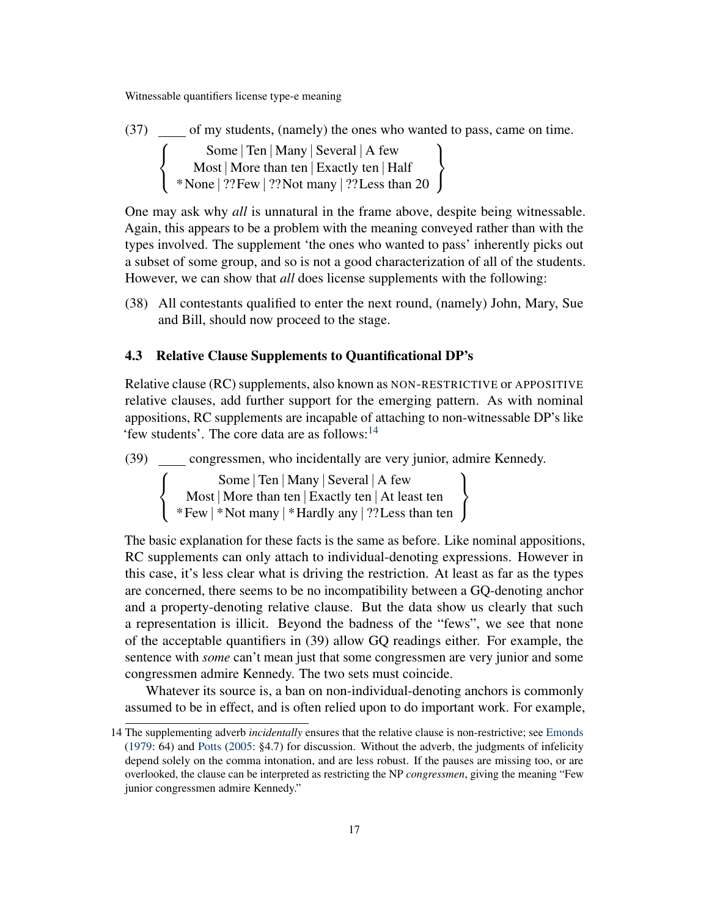(37) of my students, (namely) the ones who wanted to pass, came on time.  $\sqrt{ }$  $\int$  $\mathcal{L}$ Some | Ten | Many | Several | A few Most | More than ten | Exactly ten | Half \*None | ??Few | ??Not many | ??Less than 20  $\mathcal{L}$  $\mathcal{L}$  $\int$ 

One may ask why *all* is unnatural in the frame above, despite being witnessable. Again, this appears to be a problem with the meaning conveyed rather than with the types involved. The supplement 'the ones who wanted to pass' inherently picks out a subset of some group, and so is not a good characterization of all of the students. However, we can show that *all* does license supplements with the following:

(38) All contestants qualified to enter the next round, (namely) John, Mary, Sue and Bill, should now proceed to the stage.

# 4.3 Relative Clause Supplements to Quantificational DP's

Relative clause (RC) supplements, also known as NON-RESTRICTIVE or APPOSITIVE relative clauses, add further support for the emerging pattern. As with nominal appositions, RC supplements are incapable of attaching to non-witnessable DP's like 'few students'. The core data are as follows:[14](#page-16-0)

(39) congressmen, who incidentally are very junior, admire Kennedy.

 $\sqrt{ }$  $\int$  $\mathcal{L}$ Some | Ten | Many | Several | A few Most | More than ten | Exactly ten | At least ten \*Few | \*Not many | \*Hardly any | ??Less than ten  $\mathcal{L}$  $\mathcal{L}$  $\int$ 

The basic explanation for these facts is the same as before. Like nominal appositions, RC supplements can only attach to individual-denoting expressions. However in this case, it's less clear what is driving the restriction. At least as far as the types are concerned, there seems to be no incompatibility between a GQ-denoting anchor and a property-denoting relative clause. But the data show us clearly that such a representation is illicit. Beyond the badness of the "fews", we see that none of the acceptable quantifiers in (39) allow GQ readings either. For example, the sentence with *some* can't mean just that some congressmen are very junior and some congressmen admire Kennedy. The two sets must coincide.

Whatever its source is, a ban on non-individual-denoting anchors is commonly assumed to be in effect, and is often relied upon to do important work. For example,

<span id="page-16-0"></span><sup>14</sup> The supplementing adverb *incidentally* ensures that the relative clause is non-restrictive; see [Emonds](#page-18-12) [\(1979:](#page-18-12) 64) and [Potts](#page-19-12) [\(2005:](#page-19-12) §4.7) for discussion. Without the adverb, the judgments of infelicity depend solely on the comma intonation, and are less robust. If the pauses are missing too, or are overlooked, the clause can be interpreted as restricting the NP *congressmen*, giving the meaning "Few junior congressmen admire Kennedy."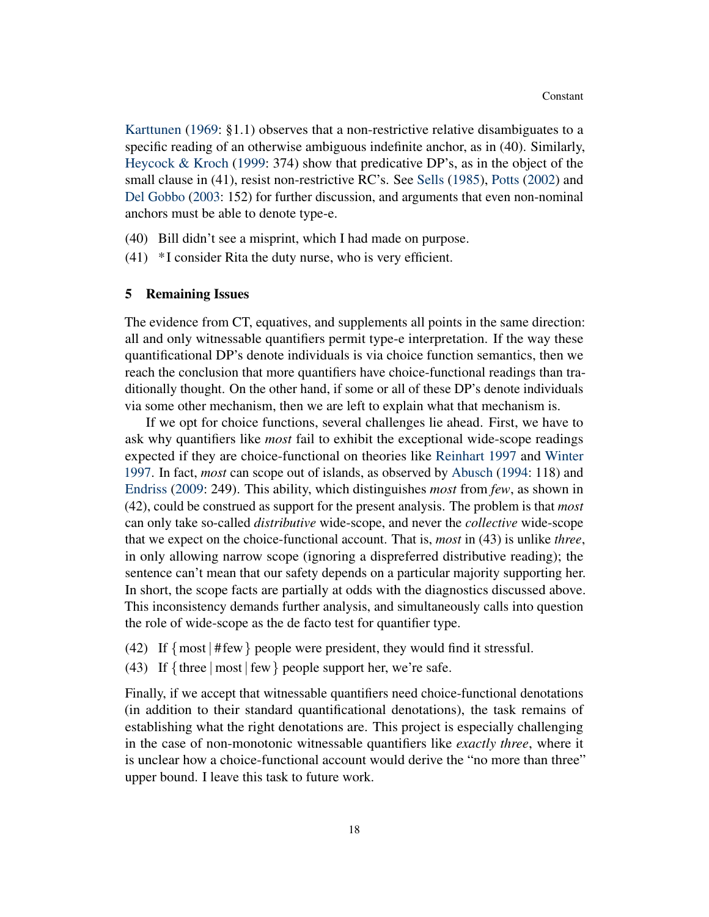[Karttunen](#page-18-13) [\(1969:](#page-18-13) §1.1) observes that a non-restrictive relative disambiguates to a specific reading of an otherwise ambiguous indefinite anchor, as in (40). Similarly, [Heycock & Kroch](#page-18-14) [\(1999:](#page-18-14) 374) show that predicative DP's, as in the object of the small clause in (41), resist non-restrictive RC's. See [Sells](#page-19-13) [\(1985\)](#page-19-13), [Potts](#page-19-14) [\(2002\)](#page-19-14) and [Del Gobbo](#page-18-15) [\(2003:](#page-18-15) 152) for further discussion, and arguments that even non-nominal anchors must be able to denote type-e.

- (40) Bill didn't see a misprint, which I had made on purpose.
- (41) \* I consider Rita the duty nurse, who is very efficient.

#### <span id="page-17-0"></span>5 Remaining Issues

The evidence from CT, equatives, and supplements all points in the same direction: all and only witnessable quantifiers permit type-e interpretation. If the way these quantificational DP's denote individuals is via choice function semantics, then we reach the conclusion that more quantifiers have choice-functional readings than traditionally thought. On the other hand, if some or all of these DP's denote individuals via some other mechanism, then we are left to explain what that mechanism is.

If we opt for choice functions, several challenges lie ahead. First, we have to ask why quantifiers like *most* fail to exhibit the exceptional wide-scope readings expected if they are choice-functional on theories like [Reinhart](#page-19-0) [1997](#page-19-0) and [Winter](#page-20-7) [1997.](#page-20-7) In fact, *most* can scope out of islands, as observed by [Abusch](#page-18-16) [\(1994:](#page-18-16) 118) and [Endriss](#page-18-17) [\(2009:](#page-18-17) 249). This ability, which distinguishes *most* from *few*, as shown in (42), could be construed as support for the present analysis. The problem is that *most* can only take so-called *distributive* wide-scope, and never the *collective* wide-scope that we expect on the choice-functional account. That is, *most* in (43) is unlike *three*, in only allowing narrow scope (ignoring a dispreferred distributive reading); the sentence can't mean that our safety depends on a particular majority supporting her. In short, the scope facts are partially at odds with the diagnostics discussed above. This inconsistency demands further analysis, and simultaneously calls into question the role of wide-scope as the de facto test for quantifier type.

- (42) If  $\{most | # few\}$  people were president, they would find it stressful.
- (43) If  $\{$  three  $|$  most  $|$  few  $\}$  people support her, we're safe.

Finally, if we accept that witnessable quantifiers need choice-functional denotations (in addition to their standard quantificational denotations), the task remains of establishing what the right denotations are. This project is especially challenging in the case of non-monotonic witnessable quantifiers like *exactly three*, where it is unclear how a choice-functional account would derive the "no more than three" upper bound. I leave this task to future work.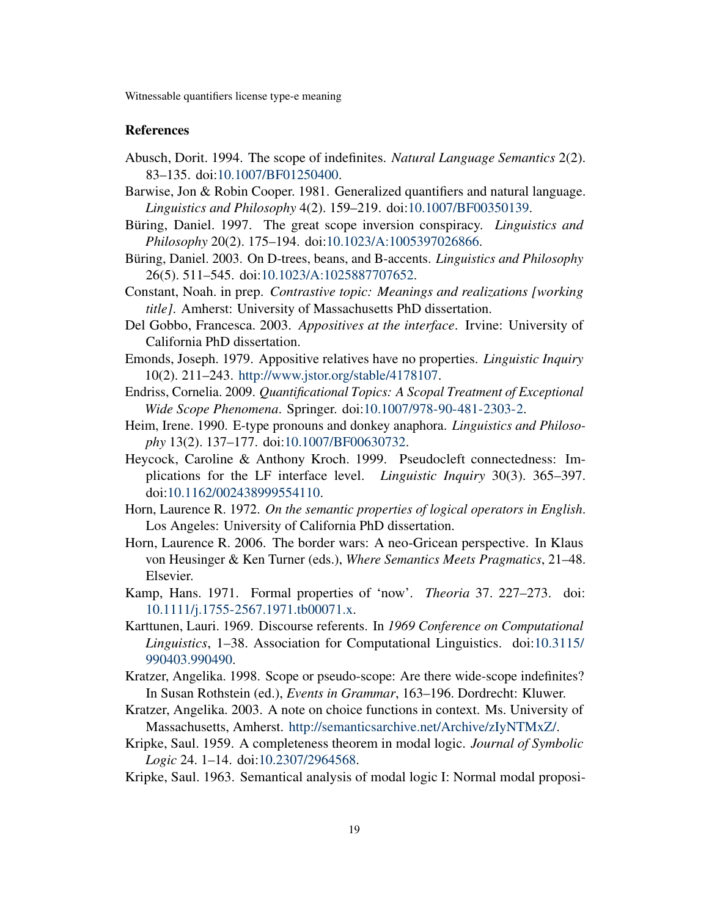## References

- <span id="page-18-16"></span>Abusch, Dorit. 1994. The scope of indefinites. *Natural Language Semantics* 2(2). 83–135. doi[:10.1007/BF01250400.](http://dx.doi.org/10.1007/BF01250400)
- <span id="page-18-3"></span>Barwise, Jon & Robin Cooper. 1981. Generalized quantifiers and natural language. *Linguistics and Philosophy* 4(2). 159–219. doi[:10.1007/BF00350139.](http://dx.doi.org/10.1007/BF00350139)
- <span id="page-18-4"></span>Büring, Daniel. 1997. The great scope inversion conspiracy. *Linguistics and Philosophy* 20(2). 175–194. doi[:10.1023/A:1005397026866.](http://dx.doi.org/10.1023/A:1005397026866)
- <span id="page-18-2"></span>Büring, Daniel. 2003. On D-trees, beans, and B-accents. *Linguistics and Philosophy* 26(5). 511–545. doi[:10.1023/A:1025887707652.](http://dx.doi.org/10.1023/A:1025887707652)
- <span id="page-18-5"></span>Constant, Noah. in prep. *Contrastive topic: Meanings and realizations [working title]*. Amherst: University of Massachusetts PhD dissertation.
- <span id="page-18-15"></span>Del Gobbo, Francesca. 2003. *Appositives at the interface*. Irvine: University of California PhD dissertation.
- <span id="page-18-12"></span>Emonds, Joseph. 1979. Appositive relatives have no properties. *Linguistic Inquiry* 10(2). 211–243. [http://www.jstor.org/stable/4178107.](http://www.jstor.org/stable/4178107)
- <span id="page-18-17"></span>Endriss, Cornelia. 2009. *Quantificational Topics: A Scopal Treatment of Exceptional Wide Scope Phenomena*. Springer. doi[:10.1007/978-90-481-2303-2.](http://dx.doi.org/10.1007/978-90-481-2303-2)
- <span id="page-18-7"></span>Heim, Irene. 1990. E-type pronouns and donkey anaphora. *Linguistics and Philosophy* 13(2). 137–177. doi[:10.1007/BF00630732.](http://dx.doi.org/10.1007/BF00630732)
- <span id="page-18-14"></span>Heycock, Caroline & Anthony Kroch. 1999. Pseudocleft connectedness: Implications for the LF interface level. *Linguistic Inquiry* 30(3). 365–397. doi[:10.1162/002438999554110.](http://dx.doi.org/10.1162/002438999554110)
- <span id="page-18-0"></span>Horn, Laurence R. 1972. *On the semantic properties of logical operators in English*. Los Angeles: University of California PhD dissertation.
- <span id="page-18-1"></span>Horn, Laurence R. 2006. The border wars: A neo-Gricean perspective. In Klaus von Heusinger & Ken Turner (eds.), *Where Semantics Meets Pragmatics*, 21–48. Elsevier.
- <span id="page-18-6"></span>Kamp, Hans. 1971. Formal properties of 'now'. *Theoria* 37. 227–273. doi: [10.1111/j.1755-2567.1971.tb00071.x.](http://dx.doi.org/10.1111/j.1755-2567.1971.tb00071.x)
- <span id="page-18-13"></span>Karttunen, Lauri. 1969. Discourse referents. In *1969 Conference on Computational Linguistics*, 1–38. Association for Computational Linguistics. doi[:10.3115/](http://dx.doi.org/10.3115/990403.990490) [990403.990490.](http://dx.doi.org/10.3115/990403.990490)
- <span id="page-18-10"></span>Kratzer, Angelika. 1998. Scope or pseudo-scope: Are there wide-scope indefinites? In Susan Rothstein (ed.), *Events in Grammar*, 163–196. Dordrecht: Kluwer.
- <span id="page-18-11"></span>Kratzer, Angelika. 2003. A note on choice functions in context. Ms. University of Massachusetts, Amherst. [http://semanticsarchive.net/Archive/zIyNTMxZ/.](http://semanticsarchive.net/Archive/zIyNTMxZ/)
- <span id="page-18-8"></span>Kripke, Saul. 1959. A completeness theorem in modal logic. *Journal of Symbolic Logic* 24. 1–14. doi[:10.2307/2964568.](http://dx.doi.org/10.2307/2964568)
- <span id="page-18-9"></span>Kripke, Saul. 1963. Semantical analysis of modal logic I: Normal modal proposi-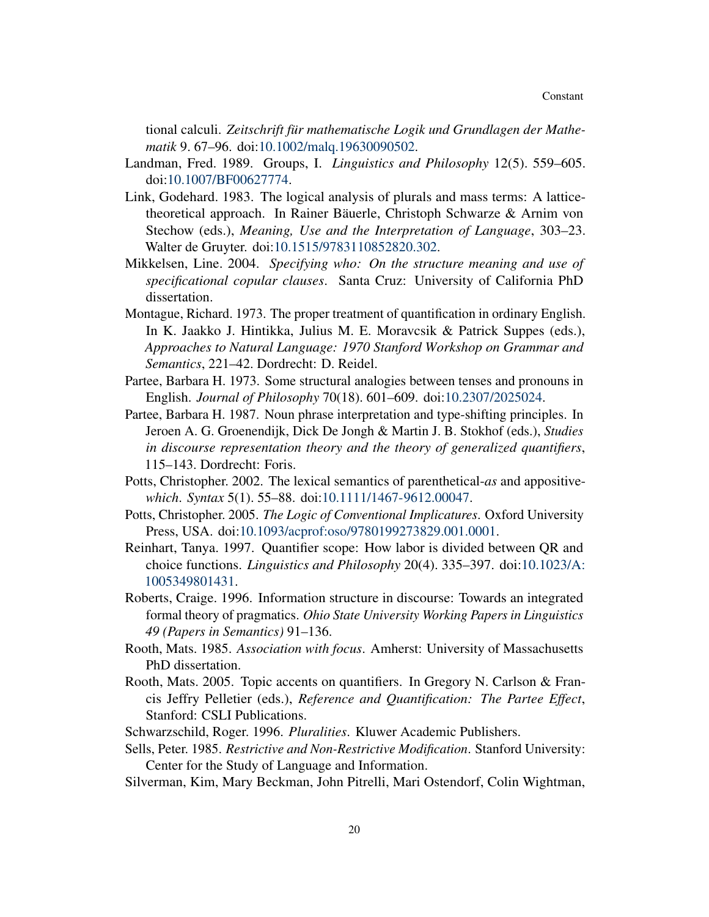tional calculi. *Zeitschrift für mathematische Logik und Grundlagen der Mathematik* 9. 67–96. doi[:10.1002/malq.19630090502.](http://dx.doi.org/10.1002/malq.19630090502)

- <span id="page-19-8"></span>Landman, Fred. 1989. Groups, I. *Linguistics and Philosophy* 12(5). 559–605. doi[:10.1007/BF00627774.](http://dx.doi.org/10.1007/BF00627774)
- <span id="page-19-10"></span>Link, Godehard. 1983. The logical analysis of plurals and mass terms: A latticetheoretical approach. In Rainer Bäuerle, Christoph Schwarze & Arnim von Stechow (eds.), *Meaning, Use and the Interpretation of Language*, 303–23. Walter de Gruyter. doi[:10.1515/9783110852820.302.](http://dx.doi.org/10.1515/9783110852820.302)
- <span id="page-19-11"></span>Mikkelsen, Line. 2004. *Specifying who: On the structure meaning and use of specificational copular clauses*. Santa Cruz: University of California PhD dissertation.
- <span id="page-19-7"></span>Montague, Richard. 1973. The proper treatment of quantification in ordinary English. In K. Jaakko J. Hintikka, Julius M. E. Moravcsik & Patrick Suppes (eds.), *Approaches to Natural Language: 1970 Stanford Workshop on Grammar and Semantics*, 221–42. Dordrecht: D. Reidel.
- <span id="page-19-5"></span>Partee, Barbara H. 1973. Some structural analogies between tenses and pronouns in English. *Journal of Philosophy* 70(18). 601–609. doi[:10.2307/2025024.](http://dx.doi.org/10.2307/2025024)
- <span id="page-19-6"></span>Partee, Barbara H. 1987. Noun phrase interpretation and type-shifting principles. In Jeroen A. G. Groenendijk, Dick De Jongh & Martin J. B. Stokhof (eds.), *Studies in discourse representation theory and the theory of generalized quantifiers*, 115–143. Dordrecht: Foris.
- <span id="page-19-14"></span>Potts, Christopher. 2002. The lexical semantics of parenthetical-*as* and appositive*which*. *Syntax* 5(1). 55–88. doi[:10.1111/1467-9612.00047.](http://dx.doi.org/10.1111/1467-9612.00047)
- <span id="page-19-12"></span>Potts, Christopher. 2005. *The Logic of Conventional Implicatures*. Oxford University Press, USA. doi[:10.1093/acprof:oso/9780199273829.001.0001.](http://dx.doi.org/10.1093/acprof:oso/9780199273829.001.0001)
- <span id="page-19-0"></span>Reinhart, Tanya. 1997. Quantifier scope: How labor is divided between QR and choice functions. *Linguistics and Philosophy* 20(4). 335–397. doi[:10.1023/A:](http://dx.doi.org/10.1023/A:1005349801431) [1005349801431.](http://dx.doi.org/10.1023/A:1005349801431)
- <span id="page-19-4"></span>Roberts, Craige. 1996. Information structure in discourse: Towards an integrated formal theory of pragmatics. *Ohio State University Working Papers in Linguistics 49 (Papers in Semantics)* 91–136.
- <span id="page-19-3"></span>Rooth, Mats. 1985. *Association with focus*. Amherst: University of Massachusetts PhD dissertation.
- <span id="page-19-1"></span>Rooth, Mats. 2005. Topic accents on quantifiers. In Gregory N. Carlson & Francis Jeffry Pelletier (eds.), *Reference and Quantification: The Partee Effect*, Stanford: CSLI Publications.
- <span id="page-19-9"></span>Schwarzschild, Roger. 1996. *Pluralities*. Kluwer Academic Publishers.
- <span id="page-19-13"></span>Sells, Peter. 1985. *Restrictive and Non-Restrictive Modification*. Stanford University: Center for the Study of Language and Information.
- <span id="page-19-2"></span>Silverman, Kim, Mary Beckman, John Pitrelli, Mari Ostendorf, Colin Wightman,